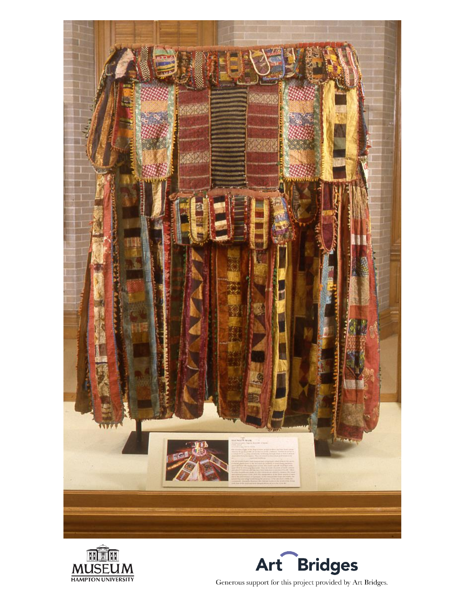





Generous support for this project provided by Art Bridges.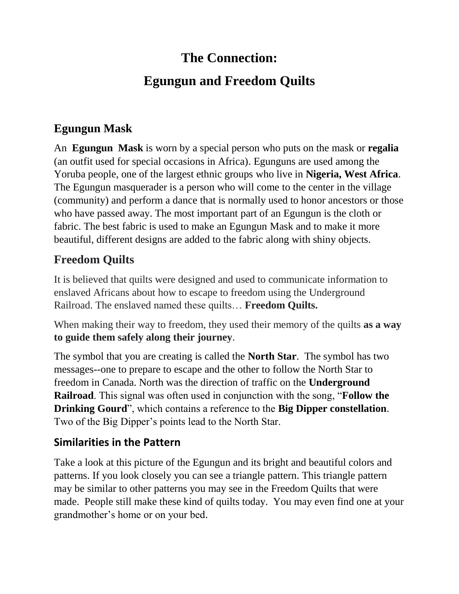# **The Connection: Egungun and Freedom Quilts**

## **Egungun Mask**

An **Egungun Mask** is worn by a special person who puts on the mask or **regalia** (an outfit used for special occasions in Africa). Egunguns are used among the Yoruba people, one of the largest ethnic groups who live in **Nigeria, West Africa**. The Egungun masquerader is a person who will come to the center in the village (community) and perform a dance that is normally used to honor ancestors or those who have passed away. The most important part of an Egungun is the cloth or fabric. The best fabric is used to make an Egungun Mask and to make it more beautiful, different designs are added to the fabric along with shiny objects.

### **Freedom Quilts**

It is believed that quilts were designed and used to communicate information to enslaved Africans about how to escape to freedom using the Underground Railroad. The enslaved named these quilts… **Freedom Quilts.**

When making their way to freedom, they used their memory of the quilts **as a way to guide them safely along their journey**.

The symbol that you are creating is called the **North Star**. The symbol has two messages--one to prepare to escape and the other to follow the North Star to freedom in Canada. North was the direction of traffic on the **Underground Railroad**. This signal was often used in conjunction with the song, "**Follow the Drinking Gourd**", which contains a reference to the **Big Dipper constellation**. Two of the Big Dipper's points lead to the North Star.

#### **Similarities in the Pattern**

Take a look at this picture of the Egungun and its bright and beautiful colors and patterns. If you look closely you can see a triangle pattern. This triangle pattern may be similar to other patterns you may see in the Freedom Quilts that were made. People still make these kind of quilts today. You may even find one at your grandmother's home or on your bed.